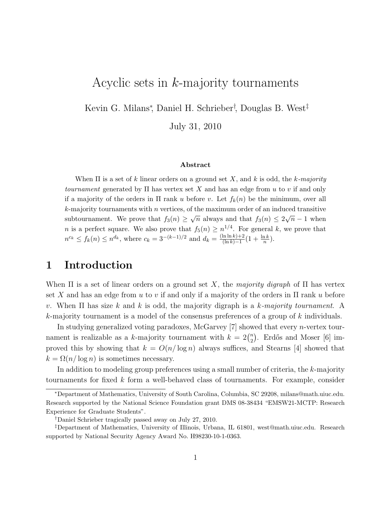# Acyclic sets in k-majority tournaments

Kevin G. Milans<sup>∗</sup> , Daniel H. Schrieber† , Douglas B. West‡

July 31, 2010

#### Abstract

When  $\Pi$  is a set of k linear orders on a ground set X, and k is odd, the k-majority tournament generated by  $\Pi$  has vertex set X and has an edge from u to v if and only if a majority of the orders in  $\Pi$  rank u before v. Let  $f_k(n)$  be the minimum, over all  $k$ -majority tournaments with n vertices, of the maximum order of an induced transitive subtournament. We prove that  $f_3(n) \geq \sqrt{n}$  always and that  $f_3(n) \leq 2\sqrt{n} - 1$  when *n* is a perfect square. We also prove that  $f_5(n) \geq n^{1/4}$ . For general k, we prove that  $n^{c_k} \le f_k(n) \le n^{d_k}$ , where  $c_k = 3^{-(k-1)/2}$  and  $d_k = \frac{(\ln \ln k) + 2}{(\ln k) - 1} (1 + \frac{\ln k}{n})$ .

### 1 Introduction

When  $\Pi$  is a set of linear orders on a ground set X, the majority digraph of  $\Pi$  has vertex set X and has an edge from u to v if and only if a majority of the orders in  $\Pi$  rank u before v. When  $\Pi$  has size k and k is odd, the majority digraph is a k-majority tournament. A k-majority tournament is a model of the consensus preferences of a group of k individuals.

In studying generalized voting paradoxes, McGarvey [7] showed that every *n*-vertex tournament is realizable as a k-majority tournament with  $k = 2\binom{n}{2}$  $n_2$ ). Erdős and Moser [6] improved this by showing that  $k = O(n/\log n)$  always suffices, and Stearns [4] showed that  $k = \Omega(n/\log n)$  is sometimes necessary.

In addition to modeling group preferences using a small number of criteria, the k-majority tournaments for fixed k form a well-behaved class of tournaments. For example, consider

<sup>∗</sup>Department of Mathematics, University of South Carolina, Columbia, SC 29208, milans@math.uiuc.edu. Research supported by the National Science Foundation grant DMS 08-38434 "EMSW21-MCTP: Research Experience for Graduate Students".

<sup>†</sup>Daniel Schrieber tragically passed away on July 27, 2010.

<sup>‡</sup>Department of Mathematics, University of Illinois, Urbana, IL 61801, west@math.uiuc.edu. Research supported by National Security Agency Award No. H98230-10-1-0363.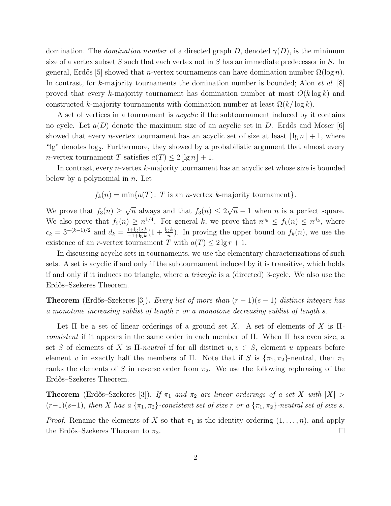domination. The *domination number* of a directed graph D, denoted  $\gamma(D)$ , is the minimum size of a vertex subset S such that each vertex not in S has an immediate predecessor in S. In general, Erdős [5] showed that *n*-vertex tournaments can have domination number  $\Omega(\log n)$ . In contrast, for k-majority tournaments the domination number is bounded; Alon *et al.*  $[8]$ proved that every k-majority tournament has domination number at most  $O(k \log k)$  and constructed k-majority tournaments with domination number at least  $\Omega(k/\log k)$ .

A set of vertices in a tournament is *acyclic* if the subtournament induced by it contains no cycle. Let  $a(D)$  denote the maximum size of an acyclic set in D. Erdős and Moser [6] showed that every *n*-vertex tournament has an acyclic set of size at least  $|\lg n| + 1$ , where "lg" denotes log<sub>2</sub>. Furthermore, they showed by a probabilistic argument that almost every n-vertex tournament T satisfies  $a(T) \leq 2|\lg n| + 1$ .

In contrast, every *n*-vertex k-majority tournament has an acyclic set whose size is bounded below by a polynomial in  $n$ . Let

 $f_k(n) = \min\{a(T): T \text{ is an } n\text{-vertex } k\text{-majority tournament}\}.$ 

We prove that  $f_3(n) \geq \sqrt{n}$  always and that  $f_3(n) \leq 2\sqrt{n} - 1$  when n is a perfect square. We also prove that  $f_5(n) \geq n^{1/4}$ . For general k, we prove that  $n^{c_k} \leq f_k(n) \leq n^{d_k}$ , where  $c_k = 3^{-(k-1)/2}$  and  $d_k = \frac{1 + \lg \lg k}{-1 + \lg k} (1 + \frac{\lg k}{n})$ . In proving the upper bound on  $f_k(n)$ , we use the existence of an r-vertex tournament T with  $a(T) \leq 2 \lg r + 1$ .

In discussing acyclic sets in tournaments, we use the elementary characterizations of such sets. A set is acyclic if and only if the subtournament induced by it is transitive, which holds if and only if it induces no triangle, where a triangle is a (directed) 3-cycle. We also use the Erdős–Szekeres Theorem.

**Theorem** (Erdős–Szekeres [3]). Every list of more than  $(r-1)(s-1)$  distinct integers has a monotone increasing sublist of length r or a monotone decreasing sublist of length s.

Let  $\Pi$  be a set of linear orderings of a ground set X. A set of elements of X is  $\Pi$ consistent if it appears in the same order in each member of  $\Pi$ . When  $\Pi$  has even size, a set S of elements of X is  $\Pi$ -neutral if for all distinct  $u, v \in S$ , element u appears before element v in exactly half the members of Π. Note that if S is  $\{\pi_1, \pi_2\}$ -neutral, then  $\pi_1$ ranks the elements of S in reverse order from  $\pi_2$ . We use the following rephrasing of the Erdős–Szekeres Theorem.

**Theorem** (Erdős–Szekeres [3]). If  $\pi_1$  and  $\pi_2$  are linear orderings of a set X with  $|X| >$  $(r-1)(s-1)$ , then X has a  $\{\pi_1, \pi_2\}$ -consistent set of size r or a  $\{\pi_1, \pi_2\}$ -neutral set of size s.

*Proof.* Rename the elements of X so that  $\pi_1$  is the identity ordering  $(1, \ldots, n)$ , and apply the Erdős–Szekeres Theorem to  $\pi_2$ .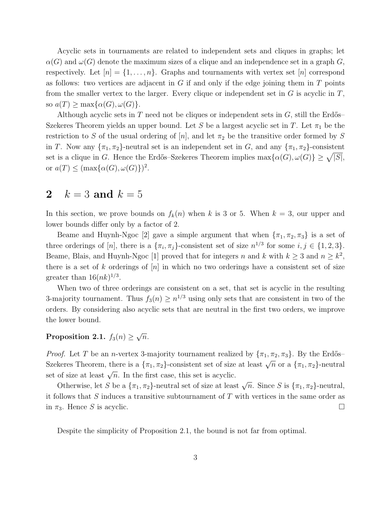Acyclic sets in tournaments are related to independent sets and cliques in graphs; let  $\alpha(G)$  and  $\omega(G)$  denote the maximum sizes of a clique and an independence set in a graph G, respectively. Let  $|n| = \{1, \ldots, n\}$ . Graphs and tournaments with vertex set  $|n|$  correspond as follows: two vertices are adjacent in  $G$  if and only if the edge joining them in  $T$  points from the smaller vertex to the larger. Every clique or independent set in  $G$  is acyclic in  $T$ , so  $a(T) \ge \max\{\alpha(G), \omega(G)\}.$ 

Although acyclic sets in T need not be cliques or independent sets in  $G$ , still the Erdős– Szekeres Theorem yields an upper bound. Let S be a largest acyclic set in T. Let  $\pi_1$  be the restriction to S of the usual ordering of  $[n]$ , and let  $\pi_2$  be the transitive order formed by S in T. Now any  $\{\pi_1, \pi_2\}$ -neutral set is an independent set in G, and any  $\{\pi_1, \pi_2\}$ -consistent set is a clique in G. Hence the Erdős–Szekeres Theorem implies  $\max\{\alpha(G), \omega(G)\} \geq \sqrt{|S|}$ , or  $a(T) \leq (\max{\{\alpha(G), \omega(G)\}})^2$ .

## 2  $k = 3$  and  $k = 5$

In this section, we prove bounds on  $f_k(n)$  when k is 3 or 5. When  $k = 3$ , our upper and lower bounds differ only by a factor of 2.

Beame and Huynh-Ngoc [2] gave a simple argument that when  $\{\pi_1, \pi_2, \pi_3\}$  is a set of three orderings of [n], there is a  $\{\pi_i, \pi_j\}$ -consistent set of size  $n^{1/3}$  for some  $i, j \in \{1, 2, 3\}$ . Beame, Blais, and Huynh-Ngoc [1] proved that for integers n and k with  $k \geq 3$  and  $n \geq k^2$ , there is a set of k orderings of  $[n]$  in which no two orderings have a consistent set of size greater than  $16(nk)^{1/3}$ .

When two of three orderings are consistent on a set, that set is acyclic in the resulting 3-majority tournament. Thus  $f_3(n) \geq n^{1/3}$  using only sets that are consistent in two of the orders. By considering also acyclic sets that are neutral in the first two orders, we improve the lower bound.

# Proposition 2.1.  $f_3(n) \geq \sqrt{n}$ .

*Proof.* Let T be an *n*-vertex 3-majority tournament realized by  $\{\pi_1, \pi_2, \pi_3\}$ . By the Erdős– Szekeres Theorem, there is a  $\{\pi_1, \pi_2\}$ -consistent set of size at least  $\sqrt{n}$  or a  $\{\pi_1, \pi_2\}$ -neutral set of size at least  $\sqrt{n}$ . In the first case, this set is acyclic.

Otherwise, let S be a  $\{\pi_1, \pi_2\}$ -neutral set of size at least  $\sqrt{n}$ . Since S is  $\{\pi_1, \pi_2\}$ -neutral, it follows that S induces a transitive subtournament of T with vertices in the same order as in  $\pi_3$ . Hence S is acyclic.

Despite the simplicity of Proposition 2.1, the bound is not far from optimal.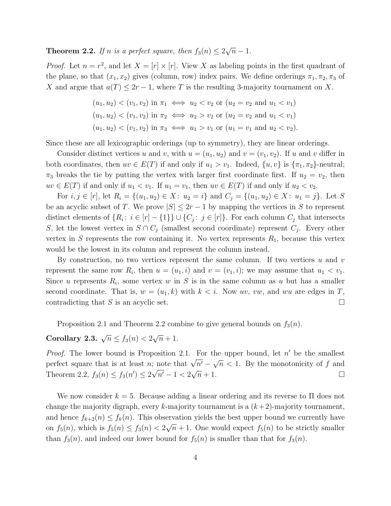**Theorem 2.2.** If n is a perfect square, then  $f_3(n) \leq 2\sqrt{n} - 1$ .

*Proof.* Let  $n = r^2$ , and let  $X = [r] \times [r]$ . View X as labeling points in the first quadrant of the plane, so that  $(x_1, x_2)$  gives (column, row) index pairs. We define orderings  $\pi_1, \pi_2, \pi_3$  of X and argue that  $a(T) \leq 2r - 1$ , where T is the resulting 3-majority tournament on X.

$$
(u_1, u_2) < (v_1, v_2) \text{ in } \pi_1 \iff u_2 < v_2 \text{ or } (u_2 = v_2 \text{ and } u_1 < v_1)
$$
\n
$$
(u_1, u_2) < (v_1, v_2) \text{ in } \pi_2 \iff u_2 > v_2 \text{ or } (u_2 = v_2 \text{ and } u_1 < v_1)
$$
\n
$$
(u_1, u_2) < (v_1, v_2) \text{ in } \pi_3 \iff u_1 > v_1 \text{ or } (u_1 = v_1 \text{ and } u_2 < v_2).
$$

Since these are all lexicographic orderings (up to symmetry), they are linear orderings.

Consider distinct vertices u and v, with  $u = (u_1, u_2)$  and  $v = (v_1, v_2)$ . If u and v differ in both coordinates, then  $uv \in E(T)$  if and only if  $u_1 > v_1$ . Indeed,  $\{u, v\}$  is  $\{\pi_1, \pi_2\}$ -neutral;  $\pi_3$  breaks the tie by putting the vertex with larger first coordinate first. If  $u_2 = v_2$ , then  $uv \in E(T)$  if and only if  $u_1 < v_1$ . If  $u_1 = v_1$ , then  $uv \in E(T)$  if and only if  $u_2 < v_2$ .

For  $i, j \in [r]$ , let  $R_i = \{(u_1, u_2) \in X: u_2 = i\}$  and  $C_j = \{(u_1, u_2) \in X: u_1 = j\}$ . Let S be an acyclic subset of T. We prove  $|S| \leq 2r - 1$  by mapping the vertices in S to represent distinct elements of  $\{R_i: i \in [r] - \{1\}\} \cup \{C_j: j \in [r]\}.$  For each column  $C_j$  that intersects S, let the lowest vertex in  $S \cap C_j$  (smallest second coordinate) represent  $C_j$ . Every other vertex in S represents the row containing it. No vertex represents  $R_1$ , because this vertex would be the lowest in its column and represent the column instead.

By construction, no two vertices represent the same column. If two vertices  $u$  and  $v$ represent the same row  $R_i$ , then  $u = (u_1, i)$  and  $v = (v_1, i)$ ; we may assume that  $u_1 < v_1$ . Since u represents  $R_i$ , some vertex w in S is in the same column as u but has a smaller second coordinate. That is,  $w = (u_1, k)$  with  $k < i$ . Now uv, vw, and wu are edges in T, contradicting that S is an acyclic set.  $\Box$ 

Proposition 2.1 and Theorem 2.2 combine to give general bounds on  $f_3(n)$ .

# Corollary 2.3.  $\sqrt{n} \le f_3(n) < 2\sqrt{n} + 1$ .

*Proof.* The lower bound is Proposition 2.1. For the upper bound, let  $n'$  be the smallest perfect square that is at least n; note that  $\sqrt{n'} - \sqrt{n} < 1$ . By the monotonicity of f and Theorem 2.2,  $f_3(n) \le f_3(n') \le 2\sqrt{n'} - 1 < 2\sqrt{n} + 1$ .

We now consider  $k = 5$ . Because adding a linear ordering and its reverse to  $\Pi$  does not change the majority digraph, every k-majority tournament is a  $(k+2)$ -majority tournament, and hence  $f_{k+2}(n) \leq f_k(n)$ . This observation yields the best upper bound we currently have on  $f_5(n)$ , which is  $f_5(n) \le f_3(n) < 2\sqrt{n} + 1$ . One would expect  $f_5(n)$  to be strictly smaller than  $f_3(n)$ , and indeed our lower bound for  $f_5(n)$  is smaller than that for  $f_3(n)$ .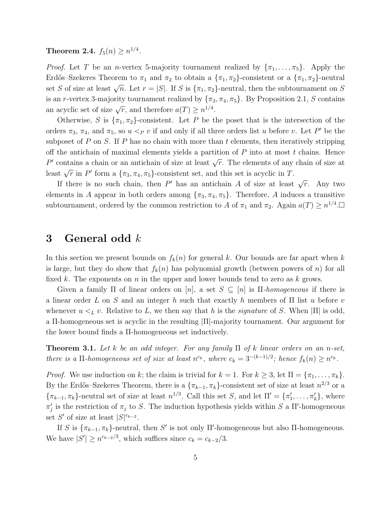**Theorem 2.4.**  $f_5(n) \ge n^{1/4}$ .

*Proof.* Let T be an n-vertex 5-majority tournament realized by  $\{\pi_1, \ldots, \pi_5\}$ . Apply the Erdős–Szekeres Theorem to  $\pi_1$  and  $\pi_2$  to obtain a  $\{\pi_1, \pi_2\}$ -consistent or a  $\{\pi_1, \pi_2\}$ -neutral set S of size at least  $\sqrt{n}$ . Let  $r = |S|$ . If S is  $\{\pi_1, \pi_2\}$ -neutral, then the subtournament on S is an r-vertex 3-majority tournament realized by  $\{\pi_3, \pi_4, \pi_5\}$ . By Proposition 2.1, S contains an acyclic set of size  $\sqrt{r}$ , and therefore  $a(T) \geq n^{1/4}$ .

Otherwise, S is  $\{\pi_1, \pi_2\}$ -consistent. Let P be the poset that is the intersection of the orders  $\pi_3$ ,  $\pi_4$ , and  $\pi_5$ , so  $u <_P v$  if and only if all three orders list u before v. Let P' be the subposet of P on S. If P has no chain with more than t elements, then iteratively stripping off the antichain of maximal elements yields a partition of  $P$  into at most  $t$  chains. Hence P' contains a chain or an antichain of size at least  $\sqrt{r}$ . The elements of any chain of size at least  $\sqrt{r}$  in P' form a  $\{\pi_3, \pi_4, \pi_5\}$ -consistent set, and this set is acyclic in T.

If there is no such chain, then P' has an antichain A of size at least  $\sqrt{r}$ . Any two elements in A appear in both orders among  $\{\pi_3, \pi_4, \pi_5\}$ . Therefore, A induces a transitive subtournament, ordered by the common restriction to A of  $\pi_1$  and  $\pi_2$ . Again  $a(T) \geq n^{1/4}$ .

### 3 General odd  $k$

In this section we present bounds on  $f_k(n)$  for general k. Our bounds are far apart when k is large, but they do show that  $f_k(n)$  has polynomial growth (between powers of n) for all fixed k. The exponents on n in the upper and lower bounds tend to zero as k grows.

Given a family  $\Pi$  of linear orders on  $[n]$ , a set  $S \subseteq [n]$  is  $\Pi$ -homogeneous if there is a linear order L on S and an integer h such that exactly h members of  $\Pi$  list u before v whenever  $u \lt_L v$ . Relative to L, we then say that h is the *signature* of S. When  $|\Pi|$  is odd, a Π-homogeneous set is acyclic in the resulting |Π|-majority tournament. Our argument for the lower bound finds a Π-homogeneous set inductively.

**Theorem 3.1.** Let k be an odd integer. For any family  $\Pi$  of k linear orders on an n-set, there is a  $\Pi$ -homogeneous set of size at least  $n^{c_k}$ , where  $c_k = 3^{-(k-1)/2}$ ; hence  $f_k(n) \geq n^{c_k}$ .

*Proof.* We use induction on k; the claim is trivial for  $k = 1$ . For  $k \geq 3$ , let  $\Pi = {\pi_1, \dots, \pi_k}$ . By the Erdős–Szekeres Theorem, there is a  $\{\pi_{k-1}, \pi_k\}$ -consistent set of size at least  $n^{2/3}$  or a  ${\lbrace \pi_{k-1}, \pi_k \rbrace}$ -neutral set of size at least  $n^{1/3}$ . Call this set S, and let  $\Pi' = {\lbrace \pi'_1 \rbrace}$  $\{\pi'_1, \ldots, \pi'_k\},$  where  $\pi'_j$  $j$  is the restriction of  $\pi_j$  to S. The induction hypothesis yields within S a II'-homogeneous set S' of size at least  $|S|^{c_{k-2}}$ .

If S is  $\{\pi_{k-1}, \pi_k\}$ -neutral, then S' is not only  $\Pi'$ -homogeneous but also  $\Pi$ -homogeneous. We have  $|S'| \ge n^{c_{k-2}/3}$ , which suffices since  $c_k = c_{k-2}/3$ .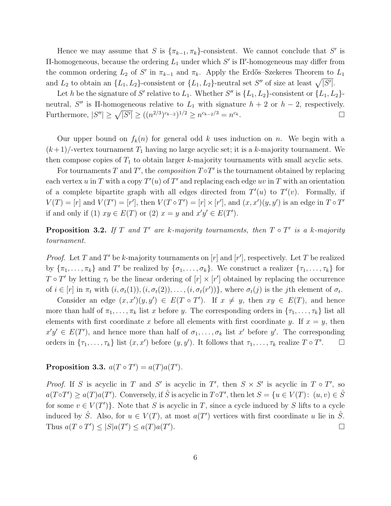Hence we may assume that S is  $\{\pi_{k-1}, \pi_k\}$ -consistent. We cannot conclude that S' is  $\Pi$ -homogeneous, because the ordering  $L_1$  under which S' is  $\Pi'$ -homogeneous may differ from the common ordering  $L_2$  of S' in  $\pi_{k-1}$  and  $\pi_k$ . Apply the Erdős–Szekeres Theorem to  $L_1$ and  $L_2$  to obtain an  $\{L_1, L_2\}$ -consistent or  $\{L_1, L_2\}$ -neutral set  $S''$  of size at least  $\sqrt{|S'|}$ .

Let h be the signature of S' relative to  $L_1$ . Whether S'' is  $\{L_1, L_2\}$ -consistent or  $\{L_1, L_2\}$ neutral, S'' is  $\Pi$ -homogeneous relative to  $L_1$  with signature  $h + 2$  or  $h - 2$ , respectively. Furthermore,  $|S''| \ge \sqrt{|S'|} \ge ((n^{2/3})^{c_{k-2}})^{1/2} \ge n^{c_{k-2}/3} = n$  $c_k$ .

Our upper bound on  $f_k(n)$  for general odd k uses induction on n. We begin with a  $(k+1)$ -vertex tournament  $T_1$  having no large acyclic set; it is a k-majority tournament. We then compose copies of  $T_1$  to obtain larger k-majority tournaments with small acyclic sets.

For tournaments T and T', the *composition*  $T \circ T'$  is the tournament obtained by replacing each vertex u in T with a copy  $T'(u)$  of T' and replacing each edge uv in T with an orientation of a complete bipartite graph with all edges directed from  $T'(u)$  to  $T'(v)$ . Formally, if  $V(T) = [r]$  and  $V(T') = [r']$ , then  $V(T \circ T') = [r] \times [r']$ , and  $(x, x')(y, y')$  is an edge in  $T \circ T'$ if and only if (1)  $xy \in E(T)$  or (2)  $x = y$  and  $x'y' \in E(T')$ .

**Proposition 3.2.** If T and T' are k-majority tournaments, then  $T \circ T'$  is a k-majority tournament.

*Proof.* Let T and T' be k-majority tournaments on  $[r]$  and  $[r']$ , respectively. Let T be realized by  $\{\pi_1, \ldots, \pi_k\}$  and T' be realized by  $\{\sigma_1, \ldots, \sigma_k\}$ . We construct a realizer  $\{\tau_1, \ldots, \tau_k\}$  for  $T \circ T'$  by letting  $\tau_t$  be the linear ordering of  $[r] \times [r']$  obtained by replacing the occurrence of  $i \in [r]$  in  $\pi_t$  with  $(i, \sigma_t(1)), (i, \sigma_t(2)), \ldots, (i, \sigma_t(r'))\}$ , where  $\sigma_t(j)$  is the jth element of  $\sigma_t$ .

Consider an edge  $(x, x')(y, y') \in E(T \circ T')$ . If  $x \neq y$ , then  $xy \in E(T)$ , and hence more than half of  $\pi_1, \ldots, \pi_k$  list x before y. The corresponding orders in  $\{\tau_1, \ldots, \tau_k\}$  list all elements with first coordinate x before all elements with first coordinate y. If  $x = y$ , then  $x'y' \in E(T')$ , and hence more than half of  $\sigma_1, \ldots, \sigma_k$  list  $x'$  before  $y'$ . The corresponding orders in  $\{\tau_1, \ldots, \tau_k\}$  list  $(x, x')$  before  $(y, y')$ . It follows that  $\tau_1, \ldots, \tau_k$  realize  $T \circ T'$  $\Box$ 

Proposition 3.3.  $a(T \circ T') = a(T)a(T')$ .

*Proof.* If S is acyclic in T and S' is acyclic in T', then  $S \times S'$  is acyclic in  $T \circ T'$ , so  $a(T \circ T') \ge a(T) a(T')$ . Conversely, if  $\hat{S}$  is acyclic in  $T \circ T'$ , then let  $S = \{u \in V(T): (u, v) \in \hat{S}\}$ for some  $v \in V(T')$ . Note that S is acyclic in T, since a cycle induced by S lifts to a cycle induced by  $\hat{S}$ . Also, for  $u \in V(T)$ , at most  $a(T')$  vertices with first coordinate u lie in  $\hat{S}$ . Thus  $a(T \circ T') \leq |S| a(T') \leq a(T) a(T')$  $\Box$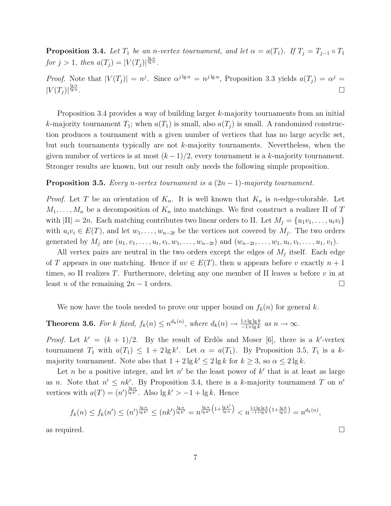**Proposition 3.4.** Let  $T_1$  be an n-vertex tournament, and let  $\alpha = a(T_1)$ . If  $T_j = T_{j-1} \circ T_1$ for  $j > 1$ , then  $a(T_j) = |V(T_j)|^{\frac{\lg \alpha}{\lg n}}$ .

*Proof.* Note that  $|V(T_j)| = n^j$ . Since  $\alpha^{j \lg n} = n^{j \lg \alpha}$ , Proposition 3.3 yields  $a(T_j) = \alpha^j =$  $|V(T_j)|^{\frac{\lg\alpha}{\lg n}}$  $\frac{\lg \alpha}{\lg n}$ .

Proposition 3.4 provides a way of building larger k-majority tournaments from an initial k-majority tournament  $T_1$ ; when  $a(T_1)$  is small, also  $a(T_i)$  is small. A randomized construction produces a tournament with a given number of vertices that has no large acyclic set, but such tournaments typically are not k-majority tournaments. Nevertheless, when the given number of vertices is at most  $(k-1)/2$ , every tournament is a k-majority tournament. Stronger results are known, but our result only needs the following simple proposition.

#### **Proposition 3.5.** Every n-vertex tournament is a  $(2n - 1)$ -majority tournament.

*Proof.* Let T be an orientation of  $K_n$ . It is well known that  $K_n$  is n-edge-colorable. Let  $M_1, \ldots, M_n$  be a decomposition of  $K_n$  into matchings. We first construct a realizer  $\Pi$  of  $T$ with  $|\Pi| = 2n$ . Each matching contributes two linear orders to  $\Pi$ . Let  $M_j = \{u_1v_1, \ldots, u_tv_t\}$ with  $u_i v_i \in E(T)$ , and let  $w_1, \ldots, w_{n-2t}$  be the vertices not covered by  $M_j$ . The two orders generated by  $M_j$  are  $(u_1, v_1, \ldots, u_t, v_t, w_1, \ldots, w_{n-2t})$  and  $(w_{n-2t}, \ldots, w_1, u_t, v_t, \ldots, u_1, v_1)$ .

All vertex pairs are neutral in the two orders except the edges of  $M_j$  itself. Each edge of T appears in one matching. Hence if  $uv \in E(T)$ , then u appears before v exactly  $n + 1$ times, so  $\Pi$  realizes T. Furthermore, deleting any one member of  $\Pi$  leaves u before v in at least *n* of the remaining  $2n - 1$  orders.

We now have the tools needed to prove our upper bound on  $f_k(n)$  for general k.

**Theorem 3.6.** For k fixed,  $f_k(n) \leq n^{d_k(n)}$ , where  $d_k(n) \to \frac{1 + \lg \lg k}{-1 + \lg k}$  as  $n \to \infty$ .

*Proof.* Let  $k' = (k + 1)/2$ . By the result of Erdős and Moser [6], there is a k'-vertex tournament  $T_1$  with  $a(T_1) \leq 1 + 2 \lg k'$ . Let  $\alpha = a(T_1)$ . By Proposition 3.5,  $T_1$  is a kmajority tournament. Note also that  $1 + 2 \lg k' \leq 2 \lg k$  for  $k \geq 3$ , so  $\alpha \leq 2 \lg k$ .

Let *n* be a positive integer, and let  $n'$  be the least power of  $k'$  that is at least as large as n. Note that  $n' \leq nk'$ . By Proposition 3.4, there is a k-majority tournament T on  $n'$ vertices with  $a(T) = (n')^{\frac{\lg \alpha}{\lg k'}}$ . Also  $\lg k' > -1 + \lg k$ . Hence

$$
f_k(n) \le f_k(n') \le (n')^{\frac{\lg \alpha}{\lg k'}} \le (nk')^{\frac{\lg \alpha}{\lg k'}} = n^{\frac{\lg \alpha}{\lg k'}} {n^{\frac{\lg \alpha}{\lg k'}}} \left(1 + \frac{\lg k'}{\lg n}\right) < n^{\frac{1 + \lg \lg k}{1 + \lg k}} (1 + \frac{\lg k}{\lg n}) = n^{d_k(n)},
$$

as required.  $\Box$